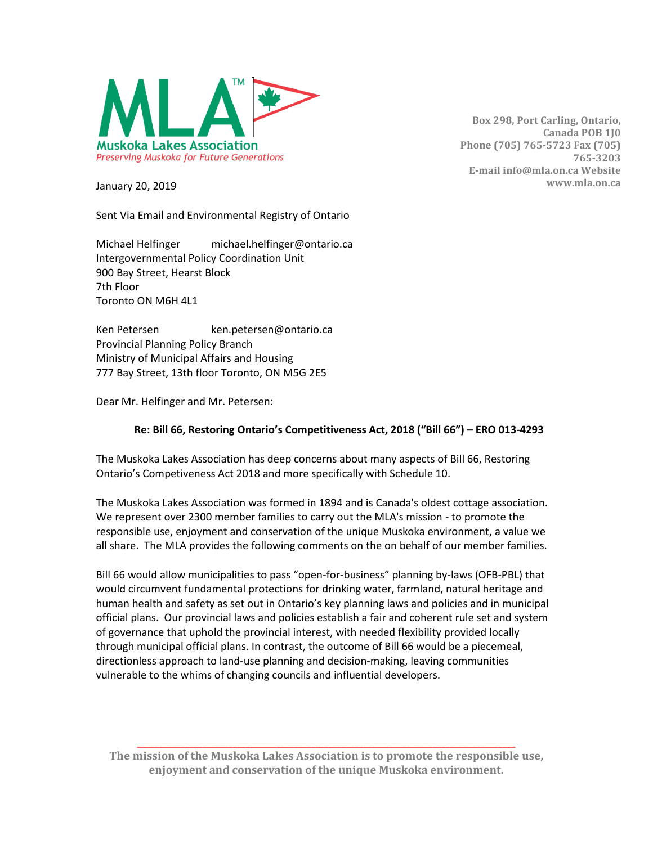

**Box 298, Port Carling, Ontario, Canada POB 1J0 Phone (705) 765-5723 Fax (705) 765-3203 E-mail info@mla.on.ca Website www.mla.on.ca**

January 20, 2019

Sent Via Email and Environmental Registry of Ontario

Michael Helfinger michael.helfinger@ontario.ca Intergovernmental Policy Coordination Unit 900 Bay Street, Hearst Block 7th Floor Toronto ON M6H 4L1

Ken Petersen ken.petersen@ontario.ca Provincial Planning Policy Branch Ministry of Municipal Affairs and Housing 777 Bay Street, 13th floor Toronto, ON M5G 2E5

Dear Mr. Helfinger and Mr. Petersen:

## **Re: Bill 66, Restoring Ontario's Competitiveness Act, 2018 ("Bill 66") – ERO 013-4293**

The Muskoka Lakes Association has deep concerns about many aspects of Bill 66, Restoring Ontario's Competiveness Act 2018 and more specifically with Schedule 10.

The Muskoka Lakes Association was formed in 1894 and is Canada's oldest cottage association. We represent over 2300 member families to carry out the MLA's mission - to promote the responsible use, enjoyment and conservation of the unique Muskoka environment, a value we all share. The MLA provides the following comments on the on behalf of our member families.

Bill 66 would allow municipalities to pass "open-for-business" planning by-laws (OFB-PBL) that would circumvent fundamental protections for drinking water, farmland, natural heritage and human health and safety as set out in Ontario's key planning laws and policies and in municipal official plans. Our provincial laws and policies establish a fair and coherent rule set and system of governance that uphold the provincial interest, with needed flexibility provided locally through municipal official plans. In contrast, the outcome of Bill 66 would be a piecemeal, directionless approach to land-use planning and decision-making, leaving communities vulnerable to the whims of changing councils and influential developers.

**\_\_\_\_\_\_\_\_\_\_\_\_\_\_\_\_\_\_\_\_\_\_\_\_\_\_\_\_\_\_\_\_\_\_\_\_\_\_\_\_\_\_\_\_\_\_\_\_\_\_\_\_\_\_\_\_\_\_\_\_\_\_\_\_\_\_\_\_\_\_\_\_\_\_\_\_\_\_\_\_\_\_\_\_\_\_\_ The mission of the Muskoka Lakes Association is to promote the responsible use, enjoyment and conservation of the unique Muskoka environment.**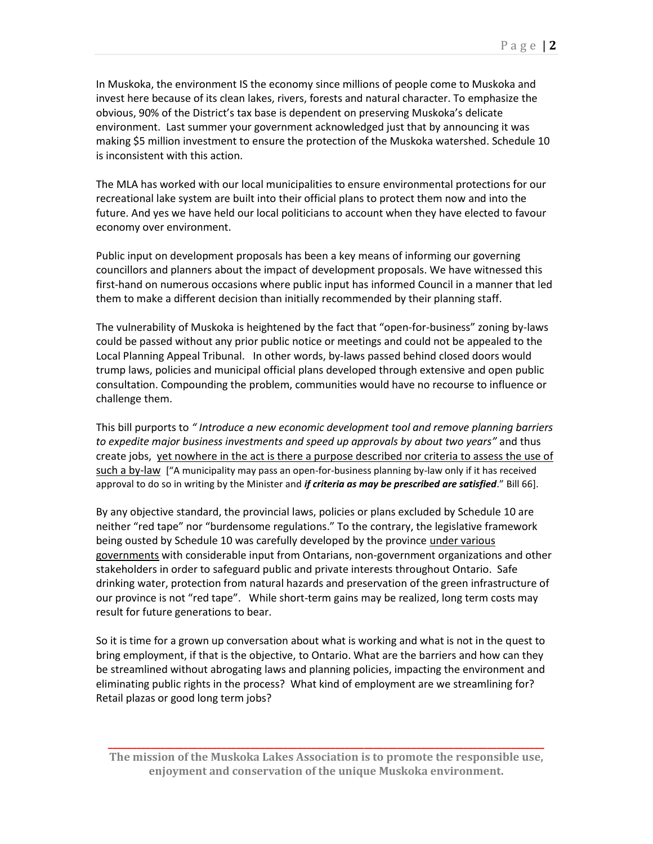In Muskoka, the environment IS the economy since millions of people come to Muskoka and invest here because of its clean lakes, rivers, forests and natural character. To emphasize the obvious, 90% of the District's tax base is dependent on preserving Muskoka's delicate environment. Last summer your government acknowledged just that by announcing it was making \$5 million investment to ensure the protection of the Muskoka watershed. Schedule 10 is inconsistent with this action.

The MLA has worked with our local municipalities to ensure environmental protections for our recreational lake system are built into their official plans to protect them now and into the future. And yes we have held our local politicians to account when they have elected to favour economy over environment.

Public input on development proposals has been a key means of informing our governing councillors and planners about the impact of development proposals. We have witnessed this first-hand on numerous occasions where public input has informed Council in a manner that led them to make a different decision than initially recommended by their planning staff.

The vulnerability of Muskoka is heightened by the fact that "open-for-business" zoning by-laws could be passed without any prior public notice or meetings and could not be appealed to the Local Planning Appeal Tribunal. In other words, by-laws passed behind closed doors would trump laws, policies and municipal official plans developed through extensive and open public consultation. Compounding the problem, communities would have no recourse to influence or challenge them.

This bill purports to *" Introduce a new economic development tool and remove planning barriers to expedite major business investments and speed up approvals by about two years"* and thus create jobs, yet nowhere in the act is there a purpose described nor criteria to assess the use of such a by-law ["A municipality may pass an open-for-business planning by-law only if it has received approval to do so in writing by the Minister and *if criteria as may be prescribed are satisfied*." Bill 66].

By any objective standard, the provincial laws, policies or plans excluded by Schedule 10 are neither "red tape" nor "burdensome regulations." To the contrary, the legislative framework being ousted by Schedule 10 was carefully developed by the province under various governments with considerable input from Ontarians, non-government organizations and other stakeholders in order to safeguard public and private interests throughout Ontario. Safe drinking water, protection from natural hazards and preservation of the green infrastructure of our province is not "red tape". While short-term gains may be realized, long term costs may result for future generations to bear.

So it is time for a grown up conversation about what is working and what is not in the quest to bring employment, if that is the objective, to Ontario. What are the barriers and how can they be streamlined without abrogating laws and planning policies, impacting the environment and eliminating public rights in the process? What kind of employment are we streamlining for? Retail plazas or good long term jobs?

**\_\_\_\_\_\_\_\_\_\_\_\_\_\_\_\_\_\_\_\_\_\_\_\_\_\_\_\_\_\_\_\_\_\_\_\_\_\_\_\_\_\_\_\_\_\_\_\_\_\_\_\_\_\_\_\_\_\_\_\_\_\_\_\_\_\_\_\_\_\_\_\_\_\_\_\_\_\_\_\_\_\_\_\_\_\_\_\_\_\_\_\_ The mission of the Muskoka Lakes Association is to promote the responsible use, enjoyment and conservation of the unique Muskoka environment.**